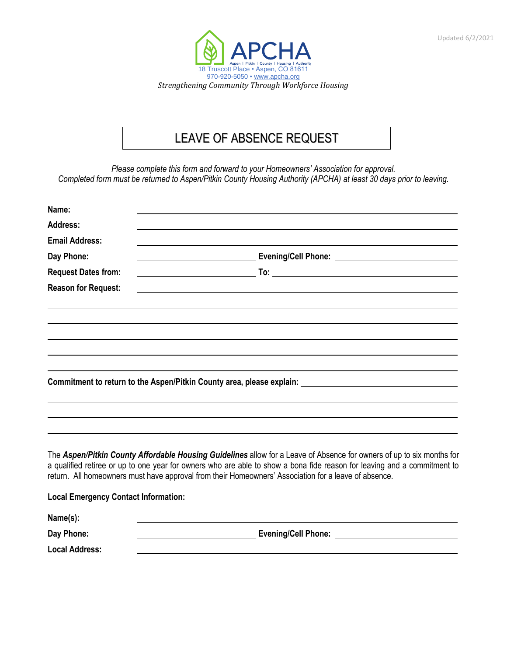



## **LEAVE OF ABSENCE REQUEST** LEAVE OF ABSENCE REQUEST

*Please complete this form and forward to your Homeowners' Association for approval. Completed form must be returned to Aspen/Pitkin County Housing Authority (APCHA) at least 30 days prior to leaving.*

| Name:                                       |                                                                                                                                                                                                                                                                                                                                                           |
|---------------------------------------------|-----------------------------------------------------------------------------------------------------------------------------------------------------------------------------------------------------------------------------------------------------------------------------------------------------------------------------------------------------------|
| Address:                                    |                                                                                                                                                                                                                                                                                                                                                           |
| <b>Email Address:</b>                       |                                                                                                                                                                                                                                                                                                                                                           |
| Day Phone:                                  |                                                                                                                                                                                                                                                                                                                                                           |
| <b>Request Dates from:</b>                  |                                                                                                                                                                                                                                                                                                                                                           |
| <b>Reason for Request:</b>                  |                                                                                                                                                                                                                                                                                                                                                           |
|                                             |                                                                                                                                                                                                                                                                                                                                                           |
|                                             |                                                                                                                                                                                                                                                                                                                                                           |
|                                             |                                                                                                                                                                                                                                                                                                                                                           |
|                                             | Commitment to return to the Aspen/Pitkin County area, please explain: ______________________________                                                                                                                                                                                                                                                      |
|                                             |                                                                                                                                                                                                                                                                                                                                                           |
|                                             | The Aspen/Pitkin County Affordable Housing Guidelines allow for a Leave of Absence for owners of up to six months for<br>a qualified retiree or up to one year for owners who are able to show a bona fide reason for leaving and a commitment to<br>return. All homeowners must have approval from their Homeowners' Association for a leave of absence. |
| <b>Local Emergency Contact Information:</b> |                                                                                                                                                                                                                                                                                                                                                           |
| Name(s):                                    |                                                                                                                                                                                                                                                                                                                                                           |
| Day Phone:                                  | <b>Evening/Cell Phone:</b>                                                                                                                                                                                                                                                                                                                                |

**Local Address:**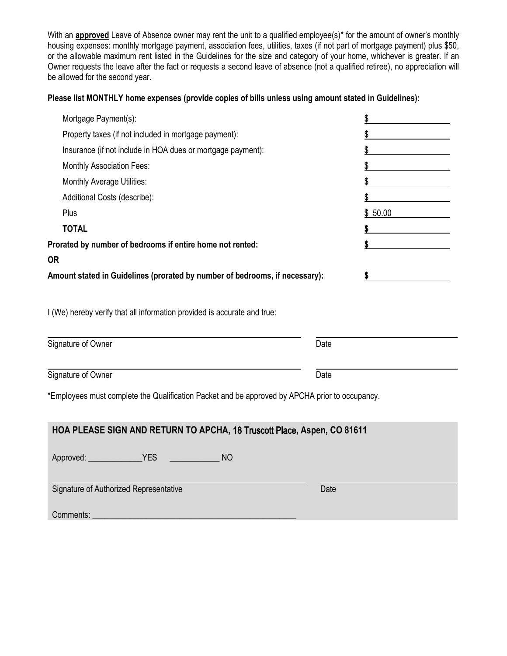With an **approved** Leave of Absence owner may rent the unit to a qualified employee(s)<sup>\*</sup> for the amount of owner's monthly housing expenses: monthly mortgage payment, association fees, utilities, taxes (if not part of mortgage payment) plus \$50, or the allowable maximum rent listed in the Guidelines for the size and category of your home, whichever is greater. If an Owner requests the leave after the fact or requests a second leave of absence (not a qualified retiree), no appreciation will be allowed for the second year.

## **Please list MONTHLY home expenses (provide copies of bills unless using amount stated in Guidelines):**

| Mortgage Payment(s):                                                                           | \$      |  |  |  |  |
|------------------------------------------------------------------------------------------------|---------|--|--|--|--|
| Property taxes (if not included in mortgage payment):                                          | \$      |  |  |  |  |
| Insurance (if not include in HOA dues or mortgage payment):                                    |         |  |  |  |  |
| <b>Monthly Association Fees:</b>                                                               |         |  |  |  |  |
| <b>Monthly Average Utilities:</b>                                                              | \$      |  |  |  |  |
| Additional Costs (describe):                                                                   | \$      |  |  |  |  |
| Plus                                                                                           | \$50.00 |  |  |  |  |
| <b>TOTAL</b>                                                                                   | \$      |  |  |  |  |
| Prorated by number of bedrooms if entire home not rented:                                      | \$      |  |  |  |  |
| <b>OR</b>                                                                                      |         |  |  |  |  |
| Amount stated in Guidelines (prorated by number of bedrooms, if necessary):                    |         |  |  |  |  |
| I (We) hereby verify that all information provided is accurate and true:                       |         |  |  |  |  |
| Signature of Owner                                                                             | Date    |  |  |  |  |
|                                                                                                |         |  |  |  |  |
| Signature of Owner                                                                             | Date    |  |  |  |  |
| *Employees must complete the Qualification Packet and be approved by APCHA prior to occupancy. |         |  |  |  |  |
| HOA PLEASE SIGN AND RETURN TO APCHA, 18 Truscott Place, Aspen, CO 81611                        |         |  |  |  |  |
| <b>YES</b><br><b>NO</b><br>Approved:                                                           |         |  |  |  |  |

Signature of Authorized Representative Date Date

Comments: